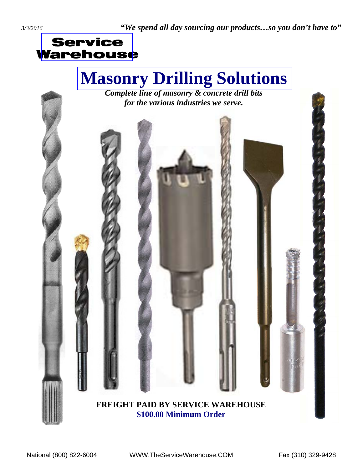# **[Masonry Drilling Solutions](http://www.servicewarehouse.net/mm5/merchant.mvc?Screen=CTGY&Store_Code=OC&Category_Code=FOCDBMB)**

*Complete line of masonry & concrete drill bits for the various industries we serve.* 

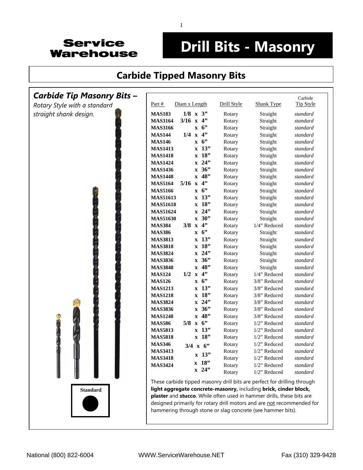

## **Drill Bits - Masonry**

#### **[Carbide Tipped Masonry Bits](http://www.servicewarehouse.net/mm5/merchant.mvc?Screen=CTGY&Store_Code=OC&Category_Code=FOCDBMBCTRB)**

#### *Carbide Tip Masonry Bits* **–** *Rotary Style with a standard straight shank design.* Carbide Part # Diam x Length Drill Style Shank Type Tip Style **MAS183 1/8 x 3"** Rotary Straight *standard* **MAS3164 3/16 x 4"** Rotary Straight *standard* **MAS3166 x 6"** Rotary Straight *standard* **MAS144 1/4 x 4"** Rotary Straight *standard* **MAS146 x 6"** Rotary Straight *standard* **MAS1413 x 13"** Rotary Straight *standard* **MAS1418 x 18"** Rotary Straight *standard* **MAS1424 x 24"** Rotary Straight *standard* **MAS1436 x 36"** Rotary Straight *standard* **MAS1448 x 48"** Rotary Straight *standard* **MAS5164 5/16 x 4"** Rotary Straight *standard* **MAS5166 x 6"** Rotary Straight *standard* **MAS51613 x 13"** Rotary Straight *standard* **MAS51618 x 18"** Rotary Straight *standard* **MAS51624 x 24"** Rotary Straight *standard* **MAS51630 x 30"** Rotary Straight *standard* **MAS384 3/8 x 4"** Rotary 1/4" Reduced *standard* **MAS386 x 6"** Rotary Straight *standard* **MAS3813 x 13"** Rotary Straight *standard* **MAS3818 x 18"** Rotary Straight *standard* **MAS3824 x 24"** Rotary Straight *standard* **MAS3836 x 36"** Rotary Straight *standard* **MAS3848 x 48"** Rotary Straight *standard* **MAS124 1/2 x 4"** Rotary 1/4" Reduced *standard* **MAS126 x 6<sup>\*</sup>** Rotary 3/8" Reduced *standard* **MAS1213 x 13"** Rotary 3/8" Reduced *standard* **MAS1218 x 18"** Rotary 3/8" Reduced *standard* **MAS3824 x 24"** Rotary 3/8" Reduced *standard* **MAS3836 x 36"** Rotary 3/8" Reduced *standard* **MAS1248 x 48"** Rotary 3/8" Reduced *standard* **MAS586 5/8 x 6"** Rotary 1/2" Reduced *standard*  **x 13"** Rotary 1/2" Reduced *standard*  **x 18"** Rotary 1/2" Reduced *standard* Rotary 1/2" Reduced *standard* **3/4 x 6"**  Rotary 1/2" Reduced *standard* **x 13"** Rotary 1/2" Reduced *standard* **x 18" Rotary**  $\frac{1}{2}$ " Reduced *standard*<br>**x 24" Rotary**  $\frac{1}{2}$ " Reduced *standard* **MAS5813 MAS5818 MAS346 MAS3413 MAS3418 MAS3424**  Rotary 1/2" Reduced *standard* These carbide tipped masonry drill bits are perfect for drilling through **light aggregate concrete-masonry,** including **brick, cinder block, plaster** and **stucco**. While often used in hammer drills, these bits are designed primarily for rotary drill motors and are not recommended for hammering through stone or slag concrete (see hammer bits). **Standard**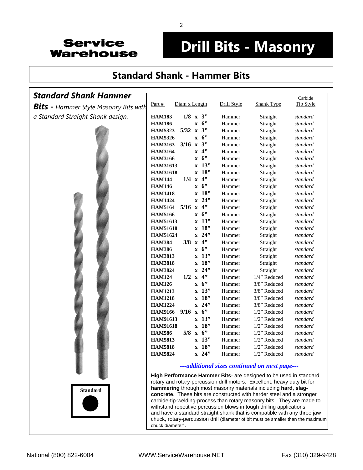## **Drill Bits - Masonry**

#### **[Standard Shank - Hammer Bits](http://www.servicewarehouse.net/mm5/merchant.mvc?Screen=CTGY&Store_Code=OC&Category_Code=FOCDBMBRHBSSHB)**

#### *Standard Shank Hammer*

*Bits* **-** *Hammer Style Masonry Bits with a Standard Straight Shank design.*



|                 |               |                         |     |             |                   | Carbide          |
|-----------------|---------------|-------------------------|-----|-------------|-------------------|------------------|
| Part #          | Diam x Length |                         |     | Drill Style | <b>Shank Type</b> | <b>Tip Style</b> |
| <b>HAM183</b>   | 1/8           | $\mathbf{x}$            | 3"  | Hammer      | Straight          | standard         |
| <b>HAM186</b>   |               | $\mathbf x$             | 6   | Hammer      | Straight          | standard         |
| <b>HAM5323</b>  | 5/32          | $\overline{\mathbf{x}}$ | 3"  | Hammer      | Straight          | standard         |
| <b>HAM5326</b>  |               | $\mathbf{x}$            | 6   | Hammer      | Straight          | standard         |
| <b>HAM3163</b>  | 3/16          | $\overline{\mathbf{x}}$ | 3"  | Hammer      | Straight          | standard         |
| <b>HAM3164</b>  |               | $\mathbf{x}$            | 4"  | Hammer      | Straight          | standard         |
| <b>HAM3166</b>  |               | $\mathbf{x}$            | 6   | Hammer      | Straight          | standard         |
| <b>HAM31613</b> |               | $\mathbf{x}$            | 13" | Hammer      | Straight          | standard         |
| <b>HAM31618</b> |               | $\overline{\mathbf{x}}$ | 18" | Hammer      | Straight          | standard         |
| <b>HAM144</b>   | 1/4           | $\overline{\mathbf{x}}$ | 4"  | Hammer      | Straight          | standard         |
| <b>HAM146</b>   |               | $\mathbf{x}$            | 6   | Hammer      | Straight          | standard         |
| <b>HAM1418</b>  |               | $\overline{\mathbf{x}}$ | 18" | Hammer      | Straight          | standard         |
| <b>HAM1424</b>  |               | $\overline{\mathbf{x}}$ | 24" | Hammer      | Straight          | standard         |
| <b>HAM5164</b>  | 5/16          | $\mathbf{x}$            | 4"  | Hammer      | Straight          | standard         |
| <b>HAM5166</b>  |               | $\mathbf{x}$            | 6   | Hammer      | Straight          | standard         |
| <b>HAM51613</b> |               | $\mathbf{x}$            | 13" | Hammer      | Straight          | standard         |
| <b>HAM51618</b> |               | $\overline{\mathbf{x}}$ | 18" | Hammer      | Straight          | standard         |
| <b>HAM51624</b> |               | $\mathbf{x}$            | 24" | Hammer      | Straight          | standard         |
| <b>HAM384</b>   | 3/8           | $\mathbf{x}$            | 4"  | Hammer      | Straight          | standard         |
| <b>HAM386</b>   |               | $\mathbf{x}$            | 6   | Hammer      | Straight          | standard         |
| <b>HAM3813</b>  |               | $\overline{\mathbf{x}}$ | 13" | Hammer      | Straight          | standard         |
| <b>HAM3818</b>  |               | $\overline{\mathbf{x}}$ | 18" | Hammer      | Straight          | standard         |
| <b>HAM3824</b>  |               | $\overline{\mathbf{x}}$ | 24" | Hammer      | Straight          | standard         |
| <b>HAM124</b>   | 1/2           | $\mathbf{x}$            | 4"  | Hammer      | 1/4" Reduced      | standard         |
| <b>HAM126</b>   |               | $\mathbf{x}$            | 6   | Hammer      | 3/8" Reduced      | standard         |
| <b>HAM1213</b>  |               | $\overline{\mathbf{x}}$ | 13" | Hammer      | 3/8" Reduced      | standard         |
| <b>HAM1218</b>  |               | $\mathbf{x}$            | 18" | Hammer      | 3/8" Reduced      | standard         |
| <b>HAM1224</b>  |               | $\overline{\mathbf{x}}$ | 24" | Hammer      | 3/8" Reduced      | standard         |
| <b>HAM9166</b>  | 9/16          | $\mathbf{x}$            | 6   | Hammer      | $1/2$ " Reduced   | standard         |
| <b>HAM91613</b> |               | $\mathbf{x}$            | 13" | Hammer      | 1/2" Reduced      | standard         |
| <b>HAM91618</b> |               | $\overline{\mathbf{x}}$ | 18" | Hammer      | $1/2$ " Reduced   | standard         |
| <b>HAM586</b>   | 5/8           | $\mathbf{x}$            | 6   | Hammer      | 1/2" Reduced      | standard         |
| <b>HAM5813</b>  |               | $\mathbf{x}$            | 13" | Hammer      | $1/2$ " Reduced   | standard         |
| <b>HAM5818</b>  |               | $\overline{\mathbf{x}}$ | 18" | Hammer      | 1/2" Reduced      | standard         |
| <b>HAM5824</b>  |               | $\overline{\mathbf{x}}$ | 24" | Hammer      | 1/2" Reduced      | standard         |

#### *---additional sizes continued on next page---*

**High Performance Hammer Bits**- are designed to be used in standard rotary and rotary-percussion drill motors. Excellent, heavy duty bit for **hammering** through most masonry materials including **hard**, **slagconcrete**. These bits are constructed with harder steel and a stronger carbide-tip-welding-process than rotary masonry bits. They are made to withstand repetitive percussion blows in tough drilling applications and have a standard straight shank that is compatible with any three jaw chuck, rotary-percussion drill (diameter of bit must be smaller than the maximum chuck diameter).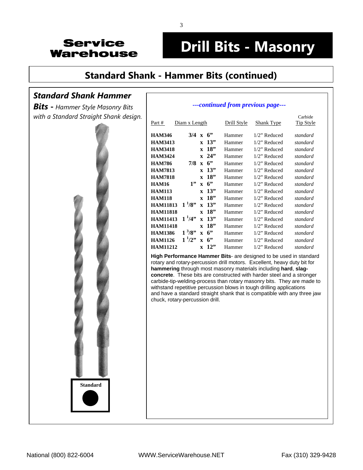## **Drill Bits - Masonry**

*---continued from previous page---* 

### **[Standard Shank - Hammer Bits](http://www.servicewarehouse.net/mm5/merchant.mvc?Screen=CTGY&Store_Code=OC&Category_Code=FOCDBMBRHBSSHB) (continued)**

#### *Standard Shank Hammer*

*Bits* **-** *Hammer Style Masonry Bits with a Standard Straight Shank design.*



| Part #          | Diam x Length   |              |             | Drill Style | Shank Type      | Carbide<br>Tip Style |
|-----------------|-----------------|--------------|-------------|-------------|-----------------|----------------------|
| <b>HAM346</b>   | 3/4             | $\mathbf{x}$ | 6           | Hammer      | $1/2$ " Reduced | standard             |
| <b>HAM3413</b>  |                 | $\mathbf{x}$ | 13"         | Hammer      | 1/2" Reduced    | standard             |
| <b>HAM3418</b>  |                 | $\mathbf{x}$ | 18"         | Hammer      | 1/2" Reduced    | standard             |
| <b>HAM3424</b>  |                 | $\mathbf{x}$ | 24          | Hammer      | $1/2$ " Reduced | standard             |
| <b>HAM786</b>   | 7/8             |              | $x \quad 6$ | Hammer      | $1/2$ " Reduced | standard             |
| <b>HAM7813</b>  |                 | $\mathbf{x}$ | 13"         | Hammer      | $1/2$ " Reduced | standard             |
| <b>HAM7818</b>  |                 | $\mathbf{x}$ | 18"         | Hammer      | $1/2$ " Reduced | standard             |
| <b>HAM16</b>    | 1"              | $\mathbf{x}$ | 6           | Hammer      | $1/2$ " Reduced | standard             |
| <b>HAM113</b>   |                 | $\mathbf{x}$ | 13"         | Hammer      | $1/2$ " Reduced | standard             |
| <b>HAM118</b>   |                 | $\mathbf{x}$ | 18"         | Hammer      | $1/2$ " Reduced | standard             |
| <b>HAM11813</b> | $1 \frac{1}{8}$ | $\mathbf{x}$ | 13"         | Hammer      | $1/2$ " Reduced | standard             |
| <b>HAM11818</b> |                 | $\mathbf{x}$ | 18"         | Hammer      | $1/2$ " Reduced | standard             |
| <b>HAM11413</b> | $1^{1}/4$ "     | $\mathbf{x}$ | 13"         | Hammer      | $1/2$ " Reduced | standard             |
| <b>HAM11418</b> |                 | $\mathbf{x}$ | 18"         | Hammer      | $1/2$ " Reduced | standard             |
| <b>HAM1386</b>  | $1^{3}/8$ "     | $\mathbf{x}$ | 6           | Hammer      | $1/2$ " Reduced | standard             |
| <b>HAM1126</b>  | $1^{1}/2$ "     | $\mathbf{x}$ | 6           | Hammer      | $1/2$ " Reduced | standard             |
| <b>HAM11212</b> |                 | $\mathbf{x}$ | 12"         | Hammer      | $1/2$ " Reduced | standard             |

**High Performance Hammer Bits**- are designed to be used in standard rotary and rotary-percussion drill motors. Excellent, heavy duty bit for **hammering** through most masonry materials including **hard**, **slagconcrete**. These bits are constructed with harder steel and a stronger carbide-tip-welding-process than rotary masonry bits. They are made to withstand repetitive percussion blows in tough drilling applications and have a standard straight shank that is compatible with any three jaw chuck, rotary-percussion drill.

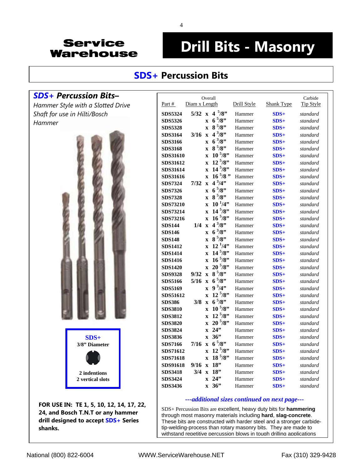# **Drill Bits - Masonry**

#### **SDS+ [Percussion Bits](http://www.servicewarehouse.net/mm5/merchant.mvc?Screen=CTGY&Store_Code=OC&Category_Code=FOCDBMBRHBSDSSHB)**

#### *SDS+ Percussion Bits***–**

*Hammer Style with a Slotted Drive Shaft for use in Hilti/Bosch Hammer* 



**FOR USE IN: TE 1, 5, 10, 12, 14, 17, 22, 24, and Bosch T.N.T or any hammer drill designed to accept SDS+ Series shanks.** 

|                 |               | Overall                 |                   |             |                   | Carbide          |
|-----------------|---------------|-------------------------|-------------------|-------------|-------------------|------------------|
| Part #          | Diam x Length |                         |                   | Drill Style | <b>Shank Type</b> | <b>Tip Style</b> |
| <b>SDS5324</b>  | 5/32          | $\mathbf{x}$            | $4\frac{5}{8}$    | Hammer      | $SDS+$            | standard         |
| <b>SDS5326</b>  |               | $\overline{\mathbf{X}}$ | $6\frac{5}{8}$    | Hammer      | $SDS+$            | standard         |
| <b>SDS5328</b>  |               | $\overline{\mathbf{X}}$ | $8\frac{5}{8}$    | Hammer      | $SDS+$            | standard         |
| <b>SDS3164</b>  | 3/16          | $\overline{\mathbf{X}}$ | $4^{3}/8$         | Hammer      | $SDS+$            | standard         |
| <b>SDS3166</b>  |               | $\overline{\mathbf{X}}$ | $6^{3}/8$ "       | Hammer      | $SDS+$            | standard         |
| <b>SDS3168</b>  |               | $\overline{\mathbf{X}}$ | $8^{5}/8$         | Hammer      | $SDS+$            | standard         |
| SDS31610        |               | $\overline{\mathbf{x}}$ | $10^{5}/8$ "      | Hammer      | $SDS+$            | standard         |
| SDS31612        |               | $\overline{\mathbf{x}}$ | $12^{5}/8$ "      | Hammer      | $SDS+$            | standard         |
| SDS31614        |               | $\overline{\mathbf{x}}$ | $14^{5}/8$ "      | Hammer      | $SDS+$            | standard         |
| SDS31616        |               | $\overline{\mathbf{X}}$ | $16\frac{5}{8}$ " | Hammer      | $SDS+$            | standard         |
| <b>SDS7324</b>  | 7/32          | $\overline{\mathbf{X}}$ | $4^{3}/4$         | Hammer      | $SDS+$            | standard         |
| <b>SDS7326</b>  |               | $\mathbf x$             | $6^{5}/8$ "       | Hammer      | $SDS+$            | standard         |
| <b>SDS7328</b>  |               | $\overline{\mathbf{X}}$ | $8\frac{5}{8}$    | Hammer      | $SDS+$            | standard         |
| SDS73210        |               | $\overline{\mathbf{X}}$ | $10^{1/4}$        | Hammer      | $SDS+$            | standard         |
| <b>SDS73214</b> |               | $\overline{\mathbf{X}}$ | $14^{5}/8$ "      | Hammer      | $SDS+$            | standard         |
| SDS73216        |               | $\overline{\mathbf{X}}$ | $16^{5}/8$ "      | Hammer      | $SDS+$            | standard         |
| <b>SDS144</b>   | 1/4           | $\overline{\mathbf{x}}$ | $4^{3}/8$         | Hammer      | $SDS+$            | standard         |
| <b>SDS146</b>   |               | $\overline{\mathbf{x}}$ | $6^{3}/8$ "       | Hammer      | $SDS+$            | standard         |
| <b>SDS148</b>   |               | $\overline{\mathbf{x}}$ | $8\frac{5}{8}$    | Hammer      | $SDS+$            | standard         |
| <b>SDS1412</b>  |               | $\overline{\mathbf{X}}$ | $12^{1/4}$        | Hammer      | $SDS+$            | standard         |
| <b>SDS1414</b>  |               | $\overline{\mathbf{X}}$ | $14\frac{5}{8}$   | Hammer      | $SDS+$            | standard         |
| <b>SDS1416</b>  |               | $\overline{\mathbf{X}}$ | $16\frac{5}{8}$   | Hammer      | $SDS+$            | standard         |
| <b>SDS1420</b>  |               | $\overline{\mathbf{X}}$ | $20^{5}/8$ "      | Hammer      | $SDS+$            | standard         |
| <b>SDS9328</b>  | 9/32          | $\overline{\mathbf{X}}$ | $8\frac{5}{8}$    | Hammer      | $SDS+$            | standard         |
| <b>SDS5166</b>  | 5/16          | $\overline{\mathbf{X}}$ | $6^{5}/8$         | Hammer      | $SDS+$            | standard         |
| <b>SDS5169</b>  |               | $\overline{\mathbf{X}}$ | $9^{3}/4"$        | Hammer      | $SDS+$            | standard         |
| SDS51612        |               | $\overline{\mathbf{X}}$ | $12^{5}/8$ "      | Hammer      | $SDS+$            | standard         |
| <b>SDS386</b>   | 3/8           | $\mathbf{x}$            | $6^{5}/8$         | Hammer      | $SDS+$            | standard         |
| <b>SDS3810</b>  |               | $\overline{\mathbf{x}}$ | $10^{5}/8$ "      | Hammer      | $SDS+$            | standard         |
| <b>SDS3812</b>  |               | $\overline{\mathbf{x}}$ | $12^{5}/8$ "      | Hammer      | $SDS+$            | standard         |
| <b>SDS3820</b>  |               | $\overline{\mathbf{X}}$ | $20^{5}/8$ "      | Hammer      | $SDS+$            | standard         |
| <b>SDS3824</b>  |               | $\overline{\mathbf{X}}$ | 24"               | Hammer      | $SDS+$            | standard         |
| <b>SDS3836</b>  |               | $\overline{\mathbf{X}}$ | 36"               | Hammer      | $SDS+$            | standard         |
| <b>SDS7166</b>  | 7/16          | $\overline{\mathbf{X}}$ | $6^{5}/8$ "       | Hammer      | $SDS+$            | standard         |
| <b>SDS71612</b> |               | $\overline{\mathbf{x}}$ | $12^{5}/8$ "      | Hammer      | $SDS+$            | standard         |
| <b>SDS71618</b> |               | $\overline{\mathbf{x}}$ | $18\frac{5}{8}$   | Hammer      | $SDS+$            | standard         |
| SDS91618        | 9/16          | $\overline{\mathbf{X}}$ | 18"               | Hammer      | $SDS+$            | standard         |
| <b>SDS3418</b>  | 3/4           | $\overline{\mathbf{x}}$ | 18"               | Hammer      | $SDS+$            | standard         |
| <b>SDS3424</b>  |               | X                       | 24"               | Hammer      | $SDS+$            | standard         |
| <b>SDS3436</b>  |               | $\overline{\mathbf{X}}$ | 36"               | Hammer      | $SDS+$            | standard         |

#### *---additional sizes continued on next page---*

SDS+ Percussion Bits are excellent, heavy duty bits for **hammering** through most masonry materials including **hard**, **slag-concrete**. These bits are constructed with harder steel and a stronger carbidetip-welding-process than rotary masonry bits. They are made to withstand repetitive percussion blows in tough drilling applications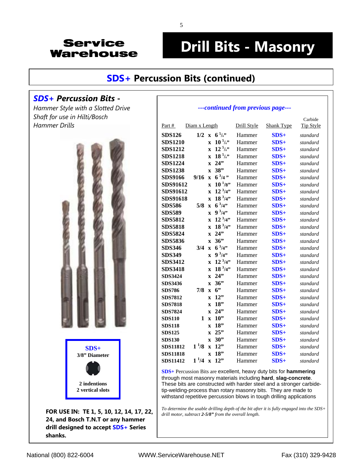# **Drill Bits - Masonry**

#### **[SDS+ Percussion Bits \(continued\)](http://www.servicewarehouse.net/mm5/merchant.mvc?Screen=CTGY&Store_Code=OC&Category_Code=FOCDBMBRHBSDSSHB)**

#### *SDS+ Percussion Bits* **-**

*Hammer Style with a Slotted Drive Shaft for use in Hilti/Bosch Hammer Drills* 



**FOR USE IN: TE 1, 5, 10, 12, 14, 17, 22, 24, and Bosch T.N.T or any hammer drill designed to accept SDS+ Series shanks.** 

#### *---continued from previous page---*

| Part #          | Diam x Length |                         |                | Drill Style | <b>Shank Type</b> | Carbide<br><b>Tip Style</b> |
|-----------------|---------------|-------------------------|----------------|-------------|-------------------|-----------------------------|
| <b>SDS126</b>   | $1/2$ x       |                         | $6^{5}/s$      | Hammer      | $SDS+$            | standard                    |
| <b>SDS1210</b>  |               | $\mathbf{x}$            | $10^{5}/s$     | Hammer      | $SDS+$            | standard                    |
| <b>SDS1212</b>  |               | $\overline{\mathbf{x}}$ | $12^{5}/s$     | Hammer      | $SDS+$            | standard                    |
| <b>SDS1218</b>  |               | $\overline{\mathbf{x}}$ | $18^{5}/s$     | Hammer      | $SDS+$            | standard                    |
| <b>SDS1224</b>  |               | $\overline{\mathbf{x}}$ | 24"            | Hammer      | $SDS+$            | standard                    |
| <b>SDS1238</b>  |               | $\overline{\mathbf{X}}$ | 38"            | Hammer      | $SDS+$            | standard                    |
| <b>SDS9166</b>  | 9/16          | $\overline{\mathbf{X}}$ | $6\frac{3}{4}$ | Hammer      | $SDS+$            | standard                    |
| SDS91612        |               | $\mathbf{x}$            | $10^{1/8}$     | Hammer      | $SDS+$            | standard                    |
| SDS91612        |               | $\mathbf{x}$            | $12^{3}/4"$    | Hammer      | $SDS+$            | standard                    |
| SDS91618        |               | $\mathbf x$             | $18^{3}/4"$    | Hammer      | $SDS+$            | standard                    |
| <b>SDS586</b>   | 5/8           | $\overline{\mathbf{x}}$ | $6^{3}/4$ "    | Hammer      | $SDS+$            | standard                    |
| <b>SDS589</b>   |               | $\overline{\mathbf{x}}$ | $9^{3}/4"$     | Hammer      | $SDS+$            | standard                    |
| <b>SDS5812</b>  |               | $\mathbf{x}$            | $12^{3}/4"$    | Hammer      | $SDS+$            | standard                    |
| <b>SDS5818</b>  |               | $\overline{\mathbf{x}}$ | $18^{3}/4"$    | Hammer      | $SDS+$            | standard                    |
| <b>SDS5824</b>  |               | $\overline{\mathbf{X}}$ | 24"            | Hammer      | $SDS+$            | standard                    |
| <b>SDS5836</b>  |               | $\mathbf{x}$            | 36"            | Hammer      | $SDS+$            | standard                    |
| <b>SDS346</b>   | 3/4           | $\overline{\mathbf{x}}$ | $6^{3}/4"$     | Hammer      | $SDS+$            | standard                    |
| <b>SDS349</b>   |               | $\overline{\mathbf{x}}$ | $9^{3}/4"$     | Hammer      | $SDS+$            | standard                    |
| <b>SDS3412</b>  |               | $\mathbf{x}$            | $12^{3}/4"$    | Hammer      | $SDS+$            | standard                    |
| <b>SDS3418</b>  |               | $\mathbf{x}$            | $18^{3}/4"$    | Hammer      | $SDS+$            | standard                    |
| <b>SDS3424</b>  |               | $\mathbf x$             | 24"            | Hammer      | $SDS+$            | standard                    |
| <b>SDS3436</b>  |               | $\overline{\mathbf{x}}$ | 36"            | Hammer      | $SDS+$            | standard                    |
| <b>SDS786</b>   | 7/8           | $\mathbf x$             | 6"             | Hammer      | $SDS+$            | standard                    |
| <b>SDS7812</b>  |               | $\overline{\mathbf{x}}$ | 12"            | Hammer      | $SDS+$            | standard                    |
| <b>SDS7818</b>  |               | $\mathbf{x}$            | 18"            | Hammer      | $SDS+$            | standard                    |
| <b>SDS7824</b>  |               | $\overline{\mathbf{x}}$ | 24"            | Hammer      | $SDS+$            | standard                    |
| <b>SDS110</b>   | 1             | $\overline{\mathbf{x}}$ | 10"            | Hammer      | $SDS+$            | standard                    |
| <b>SDS118</b>   |               | $\overline{\mathbf{X}}$ | 18"            | Hammer      | $SDS+$            | standard                    |
| <b>SDS125</b>   |               | $\mathbf{x}$            | 25"            | Hammer      | $SDS+$            | standard                    |
| <b>SDS130</b>   |               | $\mathbf x$             | 30"            | Hammer      | $SDS+$            | standard                    |
| <b>SDS11812</b> | $1^{1/8}$     | $\overline{\mathbf{X}}$ | 12"            | Hammer      | $SDS+$            | standard                    |
| <b>SDS11818</b> |               | $\overline{\mathbf{X}}$ | 18"            | Hammer      | $SDS+$            | standard                    |
| <b>SDS11412</b> | $1^{1/4}$     | $\overline{\mathbf{X}}$ | 12"            | Hammer      | $SDS+$            | standard                    |

**SDS+** Percussion Bits are excellent, heavy duty bits for **hammering** through most masonry materials including **hard**, **slag-concrete**. These bits are constructed with harder steel and a stronger carbidetip-welding-process than rotary masonry bits. They are made to withstand repetitive percussion blows in tough drilling applications

*To determine the usable drilling depth of the bit after it is fully engaged into the SDS+ drill motor, subtract 2-5/8" from the overall length.*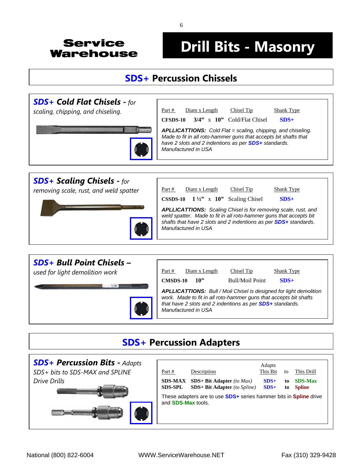# **Drill Bits - Masonry**

### **SDS+ [Percussion Chissels](http://www.servicewarehouse.net/mm5/merchant.mvc?Screen=CTGY&Store_Code=OC&Category_Code=FOCDBMBPC)**



*[removing scale, rust, and weld spatter](http://www.servicewarehouse.net/mm5/merchant.mvc?Screen=CTGY&Store_Code=OC&Category_Code=FOCDBMBPCSCC)* 



Part # Diam x Length Chisel Tip Shank Type **CSSDS-10 1 ½"** x **10"** Scaling Chisel **SDS+**  *APLLICATTIONS: Scaling Chisel is for removing scale, rust, and weld spatter. Made to fit in all roto-hammer guns that accepts bit shafts that have 2 slots and 2 indentions as per SDS+ standards. Manufactured in USA* 



### **SDS+ Percussion Adapters**

| <b>SDS+ Percussion Bits - Adapts</b><br>SDS+ bits to SDS-MAX and SPLINE | Part #                           | Description                                                                                                                                      | Adapts<br>This Bit | to        | This Drill                      |
|-------------------------------------------------------------------------|----------------------------------|--------------------------------------------------------------------------------------------------------------------------------------------------|--------------------|-----------|---------------------------------|
| Drive Drills                                                            | <b>SDS-MAX</b><br><b>SDS-SPL</b> | $SDS+ Bit Adapter (to Max)$<br>$SDS+ Bit Adapter (to Spline)$<br>These adapters are to use <b>SDS+</b> series hammer bits in <b>Spline</b> drive | $SDS+$<br>$SDS+$   | to.<br>to | <b>SDS-Max</b><br><b>Spline</b> |
|                                                                         | and <b>SDS-Max</b> tools.        |                                                                                                                                                  |                    |           |                                 |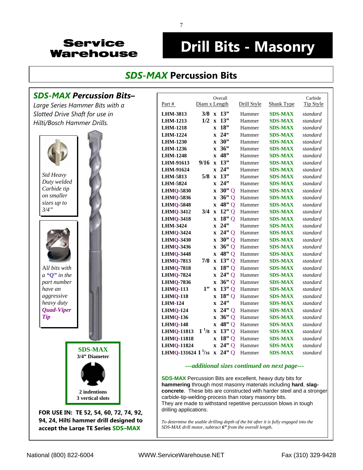# **Drill Bits - Masonry**

### *SDS-MAX* **[Percussion Bits](http://www.servicewarehouse.net/mm5/merchant.mvc?Screen=CTGY&Store_Code=OC&Category_Code=FOCDBMBRHBSDSMHB)**

#### *SDS-MAX Percussion Bits***–**

*Large Series Hammer Bits with a Slotted Drive Shaft for use in Hilti/Bosch Hammer Drills.* 



|                               |                          | Overall                 |             |                   | Carbide          |
|-------------------------------|--------------------------|-------------------------|-------------|-------------------|------------------|
| Part $#$                      | Diam x Length            |                         | Drill Style | <b>Shank Type</b> | <b>Tip Style</b> |
| <b>LHM-3813</b>               |                          | $3/8$ x 13"             | Hammer      | <b>SDS-MAX</b>    | standard         |
| <b>LHM-1213</b>               | $1/2$ x                  | 13"                     | Hammer      | <b>SDS-MAX</b>    | standard         |
| <b>LHM-1218</b>               |                          | 18"<br>$\mathbf{x}$     | Hammer      | <b>SDS-MAX</b>    | standard         |
| <b>LHM-1224</b>               |                          | $x \quad 24$            | Hammer      | <b>SDS-MAX</b>    | standard         |
| <b>LHM-1230</b>               |                          | x 30"                   | Hammer      | <b>SDS-MAX</b>    | standard         |
| <b>LHM-1236</b>               |                          | $x \frac{36}{3}$        | Hammer      | <b>SDS-MAX</b>    | standard         |
| <b>LHM-1248</b>               |                          | 48"<br>$\mathbf{X}$     | Hammer      | <b>SDS-MAX</b>    | standard         |
| LHM-91613                     | $9/16 \times$            | 13"                     | Hammer      | <b>SDS-MAX</b>    | standard         |
| LHM-91624                     |                          | 24"<br>$\mathbf{x}$     | Hammer      | <b>SDS-MAX</b>    | standard         |
| LHM-5813                      | $5/8$ x                  | 13"                     | Hammer      | <b>SDS-MAX</b>    | standard         |
| <b>LHM-5824</b>               |                          | 24"<br>$\mathbf{x}$     | Hammer      | <b>SDS-MAX</b>    | standard         |
| <b>LHMQ-5830</b>              |                          | $30"$ Q<br>$\mathbf x$  | Hammer      | <b>SDS-MAX</b>    | standard         |
| <b>LHMQ-5836</b>              | $\mathbf X$              | $36"$ Q                 | Hammer      | <b>SDS-MAX</b>    | standard         |
| <b>LHMQ-5848</b>              |                          | 48"Q<br>$\mathbf{x}$    | Hammer      | <b>SDS-MAX</b>    | standard         |
| <b>LHMO-3412</b>              | $3/4$ x                  | $12"$ Q                 | Hammer      | <b>SDS-MAX</b>    | standard         |
| <b>LHMQ-3418</b>              |                          | $18"$ Q<br>$\mathbf{x}$ | Hammer      | <b>SDS-MAX</b>    | standard         |
| LHM-3424                      |                          | 24"<br>$\mathbf{x}$     | Hammer      | <b>SDS-MAX</b>    | standard         |
| <b>LHMQ-3424</b>              |                          | $24"$ Q<br>$\mathbf X$  | Hammer      | <b>SDS-MAX</b>    | standard         |
| <b>LHMQ-3430</b>              | $\mathbf X$              | $30"$ Q                 | Hammer      | <b>SDS-MAX</b>    | standard         |
| <b>LHMQ-3436</b>              |                          | 36"Q<br>$\mathbf X$     | Hammer      | <b>SDS-MAX</b>    | standard         |
| <b>LHMQ-3448</b>              |                          | 48"Q<br>$\mathbf{x}$    | Hammer      | <b>SDS-MAX</b>    | standard         |
| <b>LHMQ-7813</b>              | $7/8$ x                  | 13"Q                    | Hammer      | <b>SDS-MAX</b>    | standard         |
| <b>LHMQ-7818</b>              |                          | $18"$ Q<br>$\mathbf x$  | Hammer      | <b>SDS-MAX</b>    | standard         |
| <b>LHMQ-7824</b>              |                          | $24"$ Q<br>$\mathbf{x}$ | Hammer      | <b>SDS-MAX</b>    | standard         |
| <b>LHMQ-7836</b>              |                          | $x \frac{36}{9}$        | Hammer      | <b>SDS-MAX</b>    | standard         |
| $LHMQ-113$                    | 1"<br>$\mathbf{\bar{X}}$ | 13"Q                    | Hammer      | <b>SDS-MAX</b>    | standard         |
| <b>LHMQ-118</b>               |                          | $18"$ Q<br>$\mathbf x$  | Hammer      | <b>SDS-MAX</b>    | standard         |
| <b>LHM-124</b>                |                          | 24"<br>$\mathbf{x}$     | Hammer      | <b>SDS-MAX</b>    | standard         |
| <b>LHMQ-124</b>               |                          | $x \ 24"Q$              | Hammer      | <b>SDS-MAX</b>    | standard         |
| <b>LHMQ-136</b>               |                          | 36"Q<br>$\mathbf{X}$    | Hammer      | <b>SDS-MAX</b>    | standard         |
| <b>LHMQ-148</b>               |                          | 48" Q<br>$\mathbf{X}$   | Hammer      | <b>SDS-MAX</b>    | standard         |
| <b>LHMQ-11813</b>             | $1^{1/8} x$              | $13"$ Q                 | Hammer      | <b>SDS-MAX</b>    | standard         |
| <b>LHMQ-11818</b>             | $\mathbf X$              | $18"$ Q                 | Hammer      | <b>SDS-MAX</b>    | standard         |
| <b>LHMQ-11824</b>             |                          | $24"$ Q<br>$\mathbf{x}$ | Hammer      | <b>SDS-MAX</b>    | standard         |
| LHMQ-131624 $1\frac{3}{16}$ x |                          | $24"$ Q                 | Hammer      | <b>SDS-MAX</b>    | standard         |

#### *---additional sizes continued on next page---*

**SDS-MAX** Percussion Bits are excellent, heavy duty bits for **hammering** through most masonry materials including **hard**, **slagconcrete**. These bits are constructed with harder steel and a stronger carbide-tip-welding-process than rotary masonry bits. They are made to withstand repetitive percussion blows in tough drilling applications.

*To determine the usable drilling depth of the bit after it is fully engaged into the SDS-MAX drill motor, subtract 6" from the overall length.*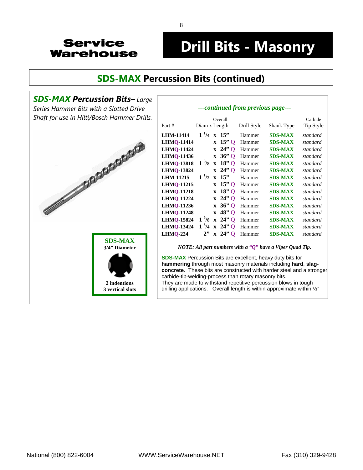## **Drill Bits - Masonry**

*---continued from previous page---* 

### **[SDS-MAX Percussion Bits \(continued\)](http://www.servicewarehouse.net/mm5/merchant.mvc?Screen=CTGY&Store_Code=OC&Category_Code=FOCDBMBRHBSDSMHB)**



|                   |                      |                                             | ---conunuea from previous page--- |                   |                             |
|-------------------|----------------------|---------------------------------------------|-----------------------------------|-------------------|-----------------------------|
| Part #            | Diam x Length        | Overall                                     | Drill Style                       | <b>Shank Type</b> | Carbide<br><b>Tip Style</b> |
| <b>LHM-11414</b>  | $1\frac{1}{4}$ x 15" |                                             | Hammer                            | <b>SDS-MAX</b>    | standard                    |
| <b>LHMQ-11414</b> |                      | $x$ 15" O                                   | Hammer                            | <b>SDS-MAX</b>    | standard                    |
| <b>LHMQ-11424</b> |                      | $\bar{x}$ 24" Q                             | Hammer                            | <b>SDS-MAX</b>    | standard                    |
| LHMQ-11436        |                      | $\mathbf{x}$ 36 <sup>9</sup> Q              | Hammer                            | <b>SDS-MAX</b>    | standard                    |
| <b>LHMQ-13818</b> | $1^{3}/8$            | $x$ 18" O                                   | Hammer                            | <b>SDS-MAX</b>    | standard                    |
| <b>LHMQ-13824</b> |                      | $x \quad 24"$ Q                             | Hammer                            | <b>SDS-MAX</b>    | standard                    |
| <b>LHM-11215</b>  | $1^{1/2}$            | $x \ 15$                                    | Hammer                            | <b>SDS-MAX</b>    | standard                    |
| <b>LHMQ-11215</b> |                      | $\boldsymbol{x}$ 15" O                      | Hammer                            | <b>SDS-MAX</b>    | standard                    |
| <b>LHMQ-11218</b> |                      | $x$ 18" O                                   | Hammer                            | <b>SDS-MAX</b>    | standard                    |
| <b>LHMQ-11224</b> |                      | $x \quad 24"$ O                             | Hammer                            | <b>SDS-MAX</b>    | standard                    |
| <b>LHMQ-11236</b> |                      | $\bar{x}$ 36" Q                             | Hammer                            | <b>SDS-MAX</b>    | standard                    |
| <b>LHMQ-11248</b> |                      | $x$ 48" Q                                   | Hammer                            | <b>SDS-MAX</b>    | standard                    |
| <b>LHMQ-15824</b> | 1 <sup>5</sup> /8    | $\boldsymbol{x}$ 24" O                      | Hammer                            | <b>SDS-MAX</b>    | standard                    |
| <b>LHMQ-13424</b> | $1^{3}/4$            | $\boldsymbol{x}$ 24" O                      | Hammer                            | <b>SDS-MAX</b>    | standard                    |
| <b>LHMQ-224</b>   |                      | $\boldsymbol{\mathrm{x}}$ 24 <sup>%</sup> O | Hammer                            | <b>SDS-MAX</b>    | standard                    |

*NOTE: All part numbers with a "Q" have a Viper Quad Tip.*

**SDS-MAX** Percussion Bits are excellent, heavy duty bits for **hammering** through most masonry materials including **hard**, **slagconcrete**. These bits are constructed with harder steel and a stronger carbide-tip-welding-process than rotary masonry bits. They are made to withstand repetitive percussion blows in tough drilling applications. Overall length is within approximate within ½"

8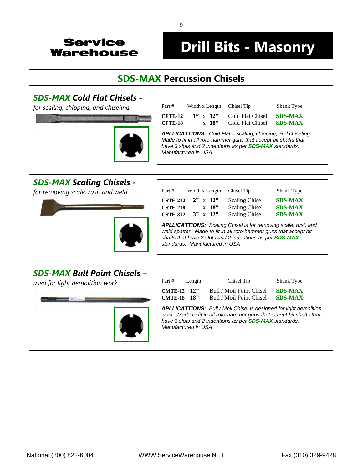# **Drill Bits - Masonry**

### **SDS-MAX [Percussion Chisels](http://www.servicewarehouse.net/mm5/merchant.mvc?Screen=CTGY&Store_Code=OC&Category_Code=FOCDBMBPC)**

#### *SDS-MAX Cold Flat Chisels* **-**

*for scaling, chipping, and chiseling.* 



 $Part #$  Width x Length Chisel Tip Shank Type **CFTE-12 1"** x **12"** Cold Flat Chisel **SDS-MAX CFTE-18** x **18"** Cold Flat Chisel **SDS-MAX** *APLLICATTIONS: Cold Flat = scaling, chipping, and chiseling. Made to fit in all roto-hammer guns that accept bit shafts that have 3 slots and 2 indentions as per SDS-MAX standards. Manufactured in USA* 

#### *SDS-MAX Scaling Chisels* **-**

*for removing scale, rust, and weld* 



| Part #                                                |  | Width x Length                                                        | Chisel Tip                                                                                                                                                                                      | Shank Type                                         |
|-------------------------------------------------------|--|-----------------------------------------------------------------------|-------------------------------------------------------------------------------------------------------------------------------------------------------------------------------------------------|----------------------------------------------------|
| <b>CSTE-212</b><br><b>CSTE-218</b><br><b>CSTE-312</b> |  | $2" \times 12"$<br>$\boldsymbol{\mathrm{x}}$ 18"<br>$3'' \times 12''$ | <b>Scaling Chisel</b><br><b>Scaling Chisel</b><br><b>Scaling Chisel</b>                                                                                                                         | <b>SDS-MAX</b><br><b>SDS-MAX</b><br><b>SDS-MAX</b> |
| standards. Manufactured in USA                        |  |                                                                       | APLLICATTIONS: Scaling Chisel is for removing scale, rust, and<br>weld spatter. Made to fit in all roto-hammer guns that accept bit<br>shafts that have 3 slots and 2 indentions as per SDS-MAX |                                                    |

#### *SDS-MAX Bull Point Chisels* **–**

*used for light demolition work* 



| Part #                            | Length | Chisel Tip                                                                                                                                                                                                           | Shank Type                       |
|-----------------------------------|--------|----------------------------------------------------------------------------------------------------------------------------------------------------------------------------------------------------------------------|----------------------------------|
| CMTE-12 12"<br><b>CMTE-18 18"</b> |        | Bull / Moil Point Chisel<br>Bull / Moil Point Chisel                                                                                                                                                                 | <b>SDS-MAX</b><br><b>SDS-MAX</b> |
| Manufactured in USA               |        | <b>APLLICATTIONS:</b> Bull / Moil Chisel is designed for light demolition<br>work. Made to fit in all roto-hammer guns that accept bit shafts that<br>have 3 slots and 2 indentions as per <b>SDS-MAX</b> standards. |                                  |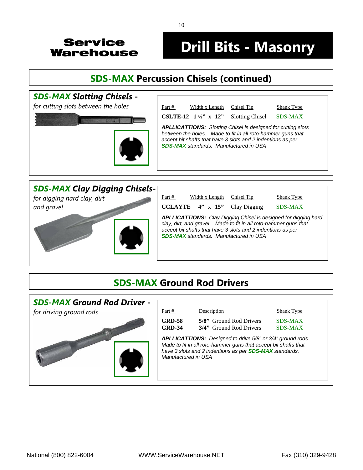## **Drill Bits - Masonry**

### **[SDS-MAX Percussion Chisels \(continued\)](http://www.servicewarehouse.net/mm5/merchant.mvc?Screen=CTGY&Store_Code=OC&Category_Code=FOCDBMBPC)**





### **SDS-MAX Ground Rod Drivers**



10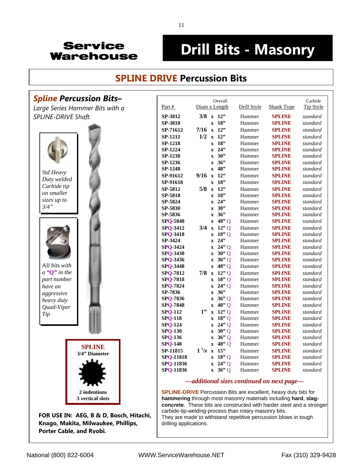## **Drill Bits - Masonry**

#### **SPLINE DRIVE [Percussion Bits](http://www.servicewarehouse.net/mm5/merchant.mvc?Screen=CTGY&Store_Code=OC&Category_Code=FOCDBMBRHBSDHB)**

#### **Spline Percussion Bits-**

*Large Series Hammer Bits with a SPLINE-DRIVE Shaft.* 



**FOR USE IN: AEG, B & D, Bosch, Hitachi, Knago, Makita, Milwaukee, Phillips, Porter Cable, and Ryobi***.* 

|                  | line Percussion Bits–        |                 |                      |              | Overall                        |             |                   | Carbide          |
|------------------|------------------------------|-----------------|----------------------|--------------|--------------------------------|-------------|-------------------|------------------|
|                  | ge Series Hammer Bits with a | Part $#$        |                      |              | Diam x Length                  | Drill Style | <b>Shank Type</b> | <b>Tip Style</b> |
|                  | <b>INE-DRIVE Shaft.</b>      | SP-3812         |                      |              | $3/8$ x 12"                    | Hammer      | <b>SPLINE</b>     | standard         |
|                  |                              | SP-3818         |                      |              | $x$ 18"                        | Hammer      | <b>SPLINE</b>     | standard         |
|                  |                              | SP-71612        | $7/16$ x 12"         |              |                                | Hammer      | <b>SPLINE</b>     | standard         |
|                  |                              | SP-1212         |                      |              | $1/2$ x 12"                    | Hammer      | <b>SPLINE</b>     | standard         |
|                  |                              | SP-1218         |                      |              | $x$ 18"                        | Hammer      | <b>SPLINE</b>     | standard         |
|                  |                              | SP-1224         |                      |              | $x$ 24"                        | Hammer      | <b>SPLINE</b>     | standard         |
|                  |                              | SP-1230         |                      | $\mathbf{X}$ | 30"                            | Hammer      | <b>SPLINE</b>     | standard         |
|                  |                              | SP-1236         |                      | $\mathbf{x}$ | 36"                            | Hammer      | <b>SPLINE</b>     | standard         |
|                  |                              | SP-1248         |                      |              | $x$ 48"                        | Hammer      | <b>SPLINE</b>     | standard         |
| Std Heavy        |                              | SP-91612        | $9/16$ x 12"         |              |                                | Hammer      | <b>SPLINE</b>     | standard         |
| Duty welded      |                              | SP-91618        |                      |              | x 18"                          | Hammer      | <b>SPLINE</b>     | standard         |
| Carbide tip      |                              | SP-5812         |                      |              | $5/8$ x 12"                    | Hammer      | <b>SPLINE</b>     | standard         |
| on smaller       |                              | SP-5818         |                      |              | $x$ 18"                        | Hammer      | <b>SPLINE</b>     | standard         |
| sizes up to      |                              | SP-5824         |                      |              | $x$ 24"                        | Hammer      | <b>SPLINE</b>     | standard         |
| $3/4$ "          |                              | SP-5830         |                      | $\mathbf{x}$ | 30"                            | Hammer      | <b>SPLINE</b>     | standard         |
|                  |                              | SP-5836         |                      |              | $x \quad 36$                   | Hammer      | <b>SPLINE</b>     | standard         |
|                  |                              | <b>SPQ-5848</b> |                      |              | $x$ 48" Q                      | Hammer      | <b>SPLINE</b>     | standard         |
|                  |                              | SPQ-3412        |                      |              | $3/4 \times 12''$ Q            | Hammer      | <b>SPLINE</b>     | standard         |
|                  |                              | <b>SPQ-3418</b> |                      |              | $x \quad 18"$ Q                | Hammer      | <b>SPLINE</b>     | standard         |
|                  |                              | SP-3424         |                      | $\mathbf{x}$ | 24                             | Hammer      | <b>SPLINE</b>     | standard         |
|                  |                              | <b>SPQ-3424</b> |                      |              | $x \quad 24$ " Q               | Hammer      | <b>SPLINE</b>     | standard         |
|                  |                              | SPQ-3430        |                      |              | $\mathbf{x}$ 30 <sup>9</sup> Q | Hammer      | <b>SPLINE</b>     | standard         |
|                  |                              | SPQ-3436        |                      |              | $x \quad 36$ <sup>"</sup> Q    | Hammer      | <b>SPLINE</b>     | standard         |
| All bits with    |                              | <b>SPQ-3448</b> |                      |              | $x \ 48"Q$                     | Hammer      | <b>SPLINE</b>     | standard         |
| a " $Q$ " in the |                              | <b>SPQ-7812</b> |                      |              | $7/8$ x 12" Q                  | Hammer      | <b>SPLINE</b>     | standard         |
| part number      |                              | <b>SPO 7818</b> |                      |              | $x$ 18" Q                      | Hammer      | <b>SPLINE</b>     | standard         |
| have an          |                              | <b>SPQ 7824</b> |                      |              | $x \quad 24" \quad 0$          | Hammer      | <b>SPLINE</b>     | standard         |
| aggressive       |                              | SP-7836         |                      |              | $x \quad 36$                   | Hammer      | <b>SPLINE</b>     | standard         |
| heavy duty       |                              | <b>SPQ 7836</b> |                      |              | $\mathbf{x}$ 36" Q             | Hammer      | <b>SPLINE</b>     | standard         |
| Quad-Viper       |                              | <b>SPQ 7848</b> |                      |              | $x \quad 48$ " Q               | Hammer      | <b>SPLINE</b>     | standard         |
| Tip              |                              | <b>SPO-112</b>  | 1"                   |              | $x$ 12" Q                      | Hammer      | <b>SPLINE</b>     | standard         |
|                  |                              | <b>SPQ 118</b>  |                      |              | $x \quad 18"$ Q                | Hammer      | <b>SPLINE</b>     | standard         |
|                  |                              | <b>SPO-124</b>  |                      |              | $x \quad 24" \quad 0$          | Hammer      | <b>SPLINE</b>     | standard         |
|                  |                              | <b>SPQ 130</b>  |                      |              | $\mathbf{x}$ 30 <sup>9</sup> Q | Hammer      | <b>SPLINE</b>     | standard         |
|                  |                              | <b>SPQ-136</b>  |                      |              | $\boldsymbol{x}$ 36" O         | Hammer      | <b>SPLINE</b>     | standard         |
|                  | <b>SPLINE</b>                | <b>SPQ-148</b>  |                      |              | $x \quad 48$ " Q               | Hammer      | <b>SPLINE</b>     | standard         |
|                  | 3/4" Diameter                | SP-11815        | $1\frac{1}{8}$ x 15" |              |                                | Hammer      | <b>SPLINE</b>     | standard         |
|                  |                              | SPQ-11818       |                      |              | $x$ 18" Q                      | Hammer      | <b>SPLINE</b>     | standard         |
|                  |                              | SPQ-11836       |                      |              | $x \ 24"Q$                     | Hammer      | <b>SPLINE</b>     | standard         |
|                  |                              | SPQ-11836       |                      |              | $\bar{x}$ 36" Q                | Hammer      | <b>SPLINE</b>     | standard         |

#### *---additional sizes continued on next page---*

**SPLINE-DRIVE** Percussion Bits are excellent, heavy duty bits for **hammering** through most masonry materials including **hard**, **slagconcrete**. These bits are constructed with harder steel and a stronger carbide-tip-welding-process than rotary masonry bits. They are made to withstand repetitive percussion blows in tough drilling applications.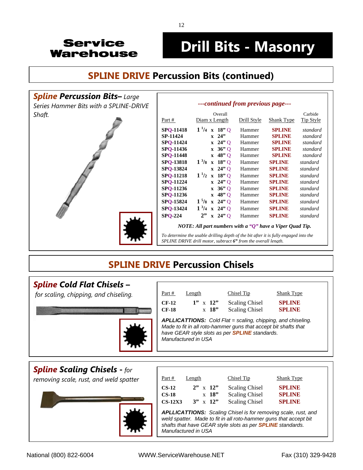## **Drill Bits - Masonry**

### **SPLINE DRIVE [Percussion Bits \(continued\)](http://www.servicewarehouse.net/mm5/merchant.mvc?Screen=CTGY&Store_Code=OC&Category_Code=FOCDBMBRHBSDHB)**



## **SPLINE DRIVE [Percussion Chisels](http://www.servicewarehouse.net/mm5/merchant.mvc?Screen=CTGY&Store_Code=OC&Category_Code=FOCDBMBPC)**

*Manufactured in USA* 

#### *[Spline Cold Flat Chisels](http://www.servicewarehouse.net/mm5/merchant.mvc?Screen=CTGY&Store_Code=OC&Category_Code=FOCDBMBPCFCC)* **–**

 *for scaling, chipping, and chiseling.* 



| Part #             | Length                       | Chisel Tip                                                                                                                                                                                      | <b>Shank Type</b>              |
|--------------------|------------------------------|-------------------------------------------------------------------------------------------------------------------------------------------------------------------------------------------------|--------------------------------|
| $CF-12$<br>$CF-18$ | $1'' \times 12''$<br>$x$ 18" | <b>Scaling Chisel</b><br><b>Scaling Chisel</b>                                                                                                                                                  | <b>SPLINE</b><br><b>SPLIND</b> |
|                    |                              | <b>APLLICATTIONS:</b> Cold Flat = scaling, chipping, and chiseling.<br>Made to fit in all roto-hammer guns that accept bit shafts that<br>have GEAR style slots as per <b>SPLINE</b> standards. |                                |

#### *[Spline Scaling Chisels](http://www.servicewarehouse.net/mm5/merchant.mvc?Screen=CTGY&Store_Code=OC&Category_Code=FOCDBMBPCSCC)* **-** *for*

*removing scale, rust, and weld spatter* 



| Part #              | Length |                   | Chisel Tip                                                                                                                             | Shank Type                                                            |
|---------------------|--------|-------------------|----------------------------------------------------------------------------------------------------------------------------------------|-----------------------------------------------------------------------|
| $CS-12$             |        | $2" \times 12"$   | <b>Scaling Chisel</b>                                                                                                                  | <b>SPLINE</b>                                                         |
| $CS-18$             |        | $x$ 18"           | <b>Scaling Chisel</b>                                                                                                                  | <b>SPLINE</b>                                                         |
| $CS-12X3$           |        | $3'' \times 12''$ | <b>Scaling Chisel</b>                                                                                                                  | <b>SPLINE</b>                                                         |
| Manufactured in USA |        |                   | weld spatter. Made to fit in all roto-hammer guns that accept bit<br>shafts that have GEAR style slots as per <b>SPLINE</b> standards. | <b>APLLICATTIONS:</b> Scaling Chisel is for removing scale, rust, and |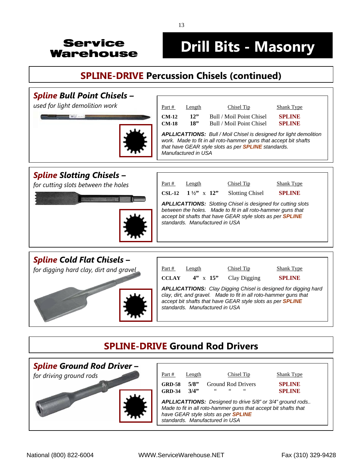## **Drill Bits - Masonry**

### **[SPLINE-DRIVE Percussion Chisels \(continued\)](http://www.servicewarehouse.net/mm5/merchant.mvc?Screen=CTGY&Store_Code=OC&Category_Code=FOCDBMBPC)**

#### *[Spline Bull Point Chisels –](http://www.servicewarehouse.net/mm5/merchant.mvc?Screen=CTGY&Store_Code=OC&Category_Code=FOCDBMBPCBPC) used for light demolition work*  $\Big|$  part # Length Chisel Tip Shank Type **CM-12 12"** Bull / Moil Point Chisel **SPLINE CONTRACTOR CM-18 18"** Bull / Moil Point Chisel **SPLINE** *APLLICATTIONS: Bull / Moil Chisel is designed for light demolition work. Made to fit in all roto-hammer guns that accept bit shafts that have GEAR style slots as per SPLINE standards. Manufactured in USA [Spline Slotting Chisels](http://www.servicewarehouse.net/mm5/merchant.mvc?Screen=CTGY&Store_Code=OC&Category_Code=FOCDBMBPCSC)* **–**  *for cutting slots between the holes*  $\frac{\text{Part }\#}{\text{Length}}$  Length Chisel Tip Shank Type **CSL-12 1 ½"** x **12"** Slotting Chisel **SPLINE** *APLLICATTIONS: Slotting Chisel is designed for cutting slots between the holes. Made to fit in all roto-hammer guns that accept bit shafts that have GEAR style slots as per SPLINE standards. Manufactured in USA [Spline Cold Flat Chisels](http://www.servicewarehouse.net/mm5/merchant.mvc?Screen=CTGY&Store_Code=OC&Category_Code=FOCDBMBPCCDC)* **–**  for digging hard clay, dirt and gravel  $\vert$  <u>Part # Length Chisel Tip Shank Type</u>





### **SPLINE-DRIVE Ground Rod Drivers**

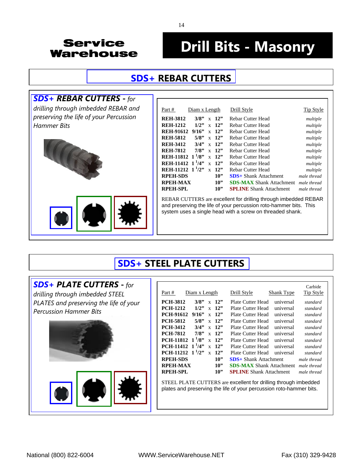# **Drill Bits - Masonry**

### **SDS+ [REBAR CUTTERS](http://www.servicewarehouse.net/mm5/merchant.mvc?Screen=CTGY&Store_Code=OC&Category_Code=SDS-REBAR-CUTTER)**

#### *[SDS+ REBAR CUTTERS](http://www.servicewarehouse.net/mm5/merchant.mvc?Screen=CTGY&Store_Code=OC&Category_Code=SDS-REBAR-CUTTER)* **-** *for*

*drilling through imbedded REBAR and preserving the life of your Percussion Hammer Bits* 



| <u>Part #</u>                       | Diam x Length |              |     | Drill Style                     | <b>Tip Style</b> |
|-------------------------------------|---------------|--------------|-----|---------------------------------|------------------|
| <b>REH-3812</b>                     | 3/8"          | $\mathbf{x}$ | 12" | Rebar Cutter Head               | multiple         |
| <b>REH-1212</b>                     | 1/2"          | $\mathbf{x}$ | 12" | Rebar Cutter Head               | multiple         |
| <b>REH-91612</b>                    | 9/16"         | $\mathbf{x}$ | 12" | <b>Rebar Cutter Head</b>        | multiple         |
| <b>REH-5812</b>                     | 5/8"          | $\mathbf{x}$ | 12" | Rebar Cutter Head               | multiple         |
| <b>REH-3412</b>                     | 3/4"          | $\mathbf{x}$ | 12" | <b>Rebar Cutter Head</b>        | multiple         |
| <b>REH-7812</b>                     | 7/8"          | $\mathbf{x}$ | 12" | Rebar Cutter Head               | multiple         |
| REH-11812 1 <sup>1</sup> /8"        |               | $\mathbf{x}$ | 12" | Rebar Cutter Head               | multiple         |
| REH-11412 1 <sup>1</sup> /4"        |               | $\mathbf{x}$ | 12" | Rebar Cutter Head               | multiple         |
| <b>REH-11212</b> 1 <sup>1</sup> /2" |               | $\mathbf{x}$ | 12" | <b>Rebar Cutter Head</b>        | multiple         |
| <b>RPEH-SDS</b>                     |               |              | 10" | <b>SDS</b> + Shank Attachment   | male thread      |
| RPEH-MAX                            |               |              | 10" | <b>SDS-MAX</b> Shank Attachment | male thread      |
| <b>RPEH-SPL</b>                     |               |              | 10" | <b>SPLINE</b> Shank Attachment  | male thread      |
|                                     |               |              |     |                                 |                  |

REBAR CUTTERS are excellent for drilling through imbedded REBAR and preserving the life of your percussion roto-hammer bits. This system uses a single head with a screw on threaded shank.

### **[SDS+ STEEL PLATE CUTTERS](http://www.servicewarehouse.net/mm5/merchant.mvc?Screen=CTGY&Store_Code=OC&Category_Code=SDS-PLATE-CUTTER)**

#### *[SDS+ PLATE CUTTERS](http://www.servicewarehouse.net/mm5/merchant.mvc?Screen=CTGY&Store_Code=OC&Category_Code=SDS-PLATE-CUTTER)* **-** *for*

*drilling through imbedded STEEL PLATES and preserving the life of your Percussion Hammer Bits* 





| Diam x Length<br>Part #                                                          | Drill Style                     | Carbide<br>Tip Style<br>Shank Type |  |  |  |
|----------------------------------------------------------------------------------|---------------------------------|------------------------------------|--|--|--|
| <b>PCH-3812</b><br>3/8"<br>12"<br>$\mathbf{x}$                                   | Plate Cutter Head               | universal<br>standard              |  |  |  |
| <b>PCH-1212</b><br>1/2"<br>12"<br>$\mathbf{x}$                                   | Plate Cutter Head               | universal<br>standard              |  |  |  |
| <b>PCH-91612</b><br>9/16"<br>12"<br>$\mathbf{x}$                                 | Plate Cutter Head               | universal<br>standard              |  |  |  |
| <b>PCH-5812</b><br>5/8"<br>12"<br>$\mathbf{x}$                                   | Plate Cutter Head               | universal<br>standard              |  |  |  |
| <b>PCH-3412</b><br>3/4"<br>12"<br>$\mathbf{x}$                                   | Plate Cutter Head               | universal<br>standard              |  |  |  |
| <b>PCH-7812</b><br>7/8"<br>12"<br>$\mathbf{x}$                                   | Plate Cutter Head               | universal<br>standard              |  |  |  |
| $1\frac{1}{8}$<br><b>PCH-11812</b><br>12"<br>$\mathbf{x}$                        | Plate Cutter Head               | universal<br>standard              |  |  |  |
| PCH-11412 $1^{1}/4$ "<br>12"<br>$\mathbf{x}$                                     | Plate Cutter Head               | universal<br>standard              |  |  |  |
| PCH-11212 $1^{1}/2$ "<br>12"<br>$\mathbf{x}$                                     | Plate Cutter Head               | universal<br>standard              |  |  |  |
| <b>RPEH-SDS</b><br>10"                                                           | <b>SDS</b> + Shank Attachment   | male thread                        |  |  |  |
| <b>RPEH-MAX</b><br>10"                                                           | <b>SDS-MAX Shank Attachment</b> | male thread                        |  |  |  |
| <b>RPEH-SPL</b><br>10"                                                           | <b>SPLINE</b> Shank Attachment  | male thread                        |  |  |  |
| $OPTPTI$ of AFE CUTTED $\Omega$ are allocation differentiation theorem indicated |                                 |                                    |  |  |  |

STEEL PLATE CUTTERS are excellent for drilling through imbedded plates and preserving the life of your percussion roto-hammer bits.

14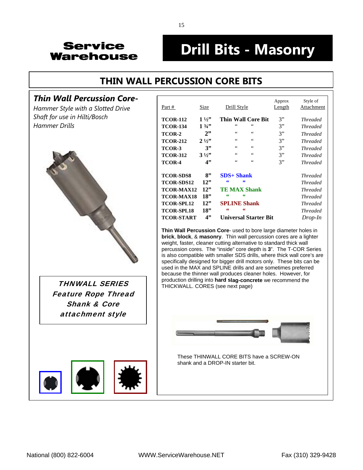# **Drill Bits - Masonry**

## **[THIN WALL PERCUSSION CORE BITS](http://www.servicewarehouse.net/mm5/merchant.mvc?Screen=CTGY&Store_Code=OC&Category_Code=FOCDBMBPCBTW)**

#### *Thin Wall Percussion Core***-**



Feature Rope Thread Shank & Core attachment style



| Thin Wall Percussion Core-<br>Hammer Style with a Slotted Drive | Part #            | <b>Size</b>    | Drill Style                    | Approx<br><b>Length</b> | Style of<br>Attachment |
|-----------------------------------------------------------------|-------------------|----------------|--------------------------------|-------------------------|------------------------|
| Shaft for use in Hilti/Bosch                                    | <b>TCOR-112</b>   | $1\frac{1}{2}$ | <b>Thin Wall Core Bit</b>      | 3"                      | <b>Threaded</b>        |
| Hammer Drills                                                   | <b>TCOR-134</b>   | $1\frac{3}{4}$ | 66                             | 3"                      | <b>Threaded</b>        |
|                                                                 | TCOR-2            | 2"             | $\leq$ $\leq$<br>$\leq$ $\leq$ | 3"                      | <b>Threaded</b>        |
|                                                                 | <b>TCOR-212</b>   | $2\frac{1}{2}$ | $\,6\,6\,$<br>66               | 3"                      | <b>Threaded</b>        |
|                                                                 | TCOR-3            | 3"             | $\,6\,6\,$<br>66               | 3"                      | <b>Threaded</b>        |
|                                                                 | <b>TCOR-312</b>   | $3\frac{1}{2}$ | $\,6\,6\,$<br>66               | 3"                      | <b>Threaded</b>        |
|                                                                 | TCOR-4            | 4"             | $\,6\,6\,$<br>$\zeta$ $\zeta$  | 3"                      | <b>Threaded</b>        |
|                                                                 | <b>TCOR-SDS8</b>  | 8"             | $SDS+Shank$                    |                         | <b>Threaded</b>        |
|                                                                 | <b>TCOR-SDS12</b> | 12"            | 66<br>66                       |                         | <b>Threaded</b>        |
|                                                                 | <b>TCOR-MAX12</b> | 12"            | <b>TE MAX Shank</b>            |                         | <b>Threaded</b>        |
|                                                                 | <b>TCOR-MAX18</b> | 18"            | 66<br>66                       |                         | <b>Threaded</b>        |
|                                                                 | <b>TCOR-SPL12</b> | 12"            | <b>SPLINE Shank</b>            |                         | <b>Threaded</b>        |
|                                                                 | <b>TCOR-SPL18</b> | 18"            | 66<br>66                       |                         | <i>Threaded</i>        |
|                                                                 | <b>TCOR-START</b> | 4"             | <b>Universal Starter Bit</b>   |                         | $Drop-In$              |

**Thin Wall Percussion Core**- used to bore large diameter holes in **brick**, **block**, & **masonry**. Thin wall percussion cores are a lighter weight, faster, cleaner cutting alternative to standard thick wall percussion cores. The "inside" core depth is **3**". The T-COR Series is also compatible with smaller SDS drills, where thick wall core's are specifically designed for bigger drill motors only. These bits can be used in the MAX and SPLINE drills and are sometimes preferred because the thinner wall produces cleaner holes. However, for **THNWALL SERIES** FINICKWALL CORES (see next page)



These THINWALL CORE BITS have a SCREW-ON shank and a DROP-IN starter bit.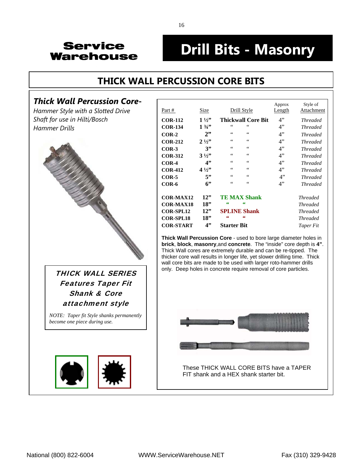## **Drill Bits - Masonry**

### **[THICK WALL PERCUSSION CORE BITS](http://www.servicewarehouse.net/mm5/merchant.mvc?Screen=CTGY&Store_Code=OC&Category_Code=FOCDBMBPCBTHW)**

#### *Thick Wall Percussion Core***-**

*Hammer Style with a Slotted Drive Shaft for use in Hilti/Bosch*  $H$ ammer Drills



## Features Taper Fit Shank & Core attachment style

*NOTE: Taper fit Style shanks permanently become one piece during use.*



| Part #           | Size            | Drill Style                      | Approx<br>Length | Style of<br>Attachment |
|------------------|-----------------|----------------------------------|------------------|------------------------|
| <b>COR-112</b>   | $1\frac{1}{2}$  | <b>Thickwall Core Bit</b>        | 4"               | <b>Threaded</b>        |
| <b>COR-134</b>   | $1 \frac{3}{4}$ | $\zeta$ $\zeta$<br>66            | 4"               | <b>Threaded</b>        |
| $COR-2$          | 2"              | 66<br>$\leq$ $\leq$              | 4"               | <b>Threaded</b>        |
| <b>COR-212</b>   | $2\frac{1}{2}$  | $\leq$ $\leq$<br>66              | 4"               | <b>Threaded</b>        |
| $COR-3$          | 3"              | 66<br>66                         | 4"               | <b>Threaded</b>        |
| <b>COR-312</b>   | $3\frac{1}{2}$  | $\leq$ $\leq$<br>$\zeta$ $\zeta$ | 4"               | <b>Threaded</b>        |
| $COR-4$          | 4"              | $\leq$ $\leq$<br>$\zeta$ $\zeta$ | 4"               | <b>Threaded</b>        |
| <b>COR-412</b>   | $4\frac{1}{2}$  | $\zeta$ $\zeta$<br>66            | 4"               | <b>Threaded</b>        |
| $COR-5$          | 5"              | $\leq$ $\leq$<br>$\zeta$ $\zeta$ | 4"               | <b>Threaded</b>        |
| COR-6            | 6"              | $\leq$ $\leq$<br>$\zeta$ $\zeta$ | 4"               | <b>Threaded</b>        |
| <b>COR-MAX12</b> | 12"             | <b>TE MAX Shank</b>              |                  | <b>Threaded</b>        |
| <b>COR-MAX18</b> | 18"             | 66<br>66                         |                  | <b>Threaded</b>        |
| <b>COR-SPL12</b> | 12"             | <b>SPLINE Shank</b>              |                  | <b>Threaded</b>        |
| <b>COR-SPL18</b> | 18"             | 66<br>66                         |                  | <b>Threaded</b>        |
| <b>COR-START</b> | 4"              | <b>Starter Bit</b>               |                  | Taper Fit              |

**Thick Wall Percussion Core** - used to bore large diameter holes in **brick**, **block**, **masonry**,and **concrete**. The "inside" core depth is **4"**. Thick Wall cores are extremely durable and can be re-tipped. The thicker core wall results in longer life, yet slower drilling time. Thick wall core bits are made to be used with larger roto-hammer drills THICK WALL SERIES  $\parallel$  only. Deep holes in concrete require removal of core particles.

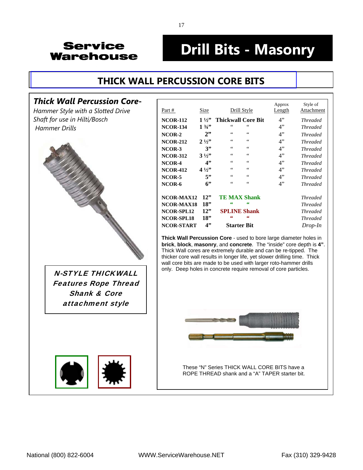# **Drill Bits - Masonry**

### **[THICK WALL PERCUSSION CORE BITS](http://www.servicewarehouse.net/mm5/merchant.mvc?Screen=CTGY&Store_Code=OC&Category_Code=FOCDBMBPCBTHW)**

#### *Thick Wall Percussion Core***-**

*Hammer Style with a Slotted Drive Shaft for use in Hilti/Bosch*  $H$  ammer Drills



Features Rope Thread Shank & Core attachment style



| Part #            | Size            | Drill Style               | Approx<br>Length | Style of<br>Attachment |
|-------------------|-----------------|---------------------------|------------------|------------------------|
| <b>NCOR-112</b>   | $1\frac{1}{2}$  | <b>Thickwall Core Bit</b> | 4"               | <b>Threaded</b>        |
| <b>NCOR-134</b>   | $1 \frac{3}{4}$ | 66<br>66                  | 4"               | <b>Threaded</b>        |
| NCOR-2            | 2"              | 66<br>66                  | 4"               | <b>Threaded</b>        |
| <b>NCOR-212</b>   | $2\frac{1}{2}$  | 66<br>66                  | 4"               | <b>Threaded</b>        |
| NCOR-3            | 3"              | 66<br>66                  | 4"               | <b>Threaded</b>        |
| <b>NCOR-312</b>   | $3\frac{1}{2}$  | 66<br>66                  | 4"               | <b>Threaded</b>        |
| NCOR-4            | 4"              | 66<br>66                  | 4"               | <b>Threaded</b>        |
| <b>NCOR-412</b>   | $4\frac{1}{2}$  | 66<br>66                  | 4"               | <b>Threaded</b>        |
| NCOR-5            | 5"              | $\zeta$ $\zeta$<br>66     | 4"               | <b>Threaded</b>        |
| NCOR-6            | 6"              | 66<br>66                  | 4"               | <b>Threaded</b>        |
|                   |                 |                           |                  |                        |
| NCOR-MAX12        | 12"             | <b>TE MAX Shank</b>       |                  | <b>Threaded</b>        |
| NCOR-MAX18        | 18"             | 66<br>66                  |                  | <b>Threaded</b>        |
| <b>NCOR-SPL12</b> | 12"             | <b>SPLINE Shank</b>       |                  | <b>Threaded</b>        |
| <b>NCOR-SPL18</b> | 18"             | 66<br>66                  |                  | <b>Threaded</b>        |
| <b>NCOR-START</b> | 4"              | <b>Starter Bit</b>        |                  | Drop-In                |
|                   |                 |                           |                  |                        |

**Thick Wall Percussion Core** - used to bore large diameter holes in **brick**, **block**, **masonry**, and **concrete**. The "inside" core depth is **4"**. Thick Wall cores are extremely durable and can be re-tipped. The thicker core wall results in longer life, yet slower drilling time. Thick wall core bits are made to be used with larger roto-hammer drills  $N$ -STYLE THICKWALL  $\parallel$  only. Deep holes in concrete require removal of core particles.



These "N" Series THICK WALL CORE BITS have a ROPE THREAD shank and a "A" TAPER starter bit.